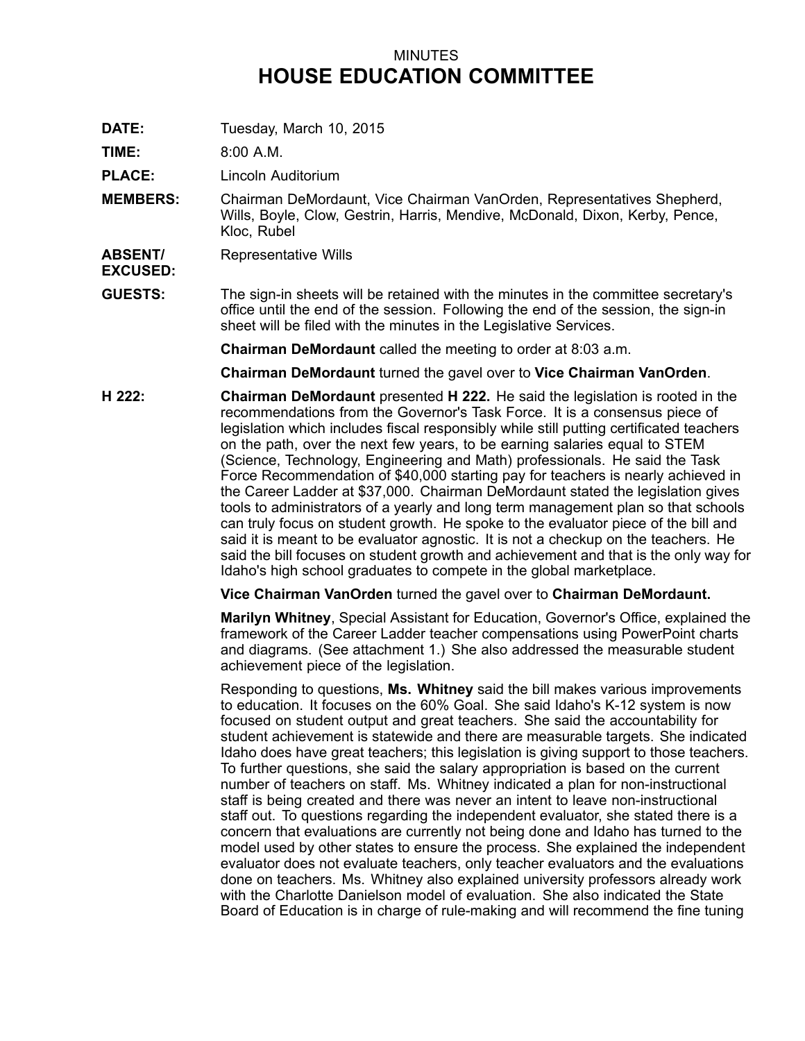## MINUTES **HOUSE EDUCATION COMMITTEE**

**DATE:** Tuesday, March 10, 2015

**TIME:** 8:00 A.M.

**PLACE:** Lincoln Auditorium

- **MEMBERS:** Chairman DeMordaunt, Vice Chairman VanOrden, Representatives Shepherd, Wills, Boyle, Clow, Gestrin, Harris, Mendive, McDonald, Dixon, Kerby, Pence, Kloc, Rubel
- **ABSENT/** Representative Wills
- **EXCUSED:**
- **GUESTS:** The sign-in sheets will be retained with the minutes in the committee secretary's office until the end of the session. Following the end of the session, the sign-in sheet will be filed with the minutes in the Legislative Services.

**Chairman DeMordaunt** called the meeting to order at 8:03 a.m.

**Chairman DeMordaunt** turned the gavel over to **Vice Chairman VanOrden**.

**H 222: Chairman DeMordaunt** presented **H 222.** He said the legislation is rooted in the recommendations from the Governor's Task Force. It is <sup>a</sup> consensus piece of legislation which includes fiscal responsibly while still putting certificated teachers on the path, over the next few years, to be earning salaries equal to STEM (Science, Technology, Engineering and Math) professionals. He said the Task Force Recommendation of \$40,000 starting pay for teachers is nearly achieved in the Career Ladder at \$37,000. Chairman DeMordaunt stated the legislation gives tools to administrators of <sup>a</sup> yearly and long term management plan so that schools can truly focus on student growth. He spoke to the evaluator piece of the bill and said it is meant to be evaluator agnostic. It is not <sup>a</sup> checkup on the teachers. He said the bill focuses on student growth and achievement and that is the only way for Idaho's high school graduates to compete in the global marketplace.

**Vice Chairman VanOrden** turned the gavel over to **Chairman DeMordaunt.**

**Marilyn Whitney**, Special Assistant for Education, Governor's Office, explained the framework of the Career Ladder teacher compensations using PowerPoint charts and diagrams. (See attachment 1.) She also addressed the measurable student achievement piece of the legislation.

Responding to questions, **Ms. Whitney** said the bill makes various improvements to education. It focuses on the 60% Goal. She said Idaho's K-12 system is now focused on student output and great teachers. She said the accountability for student achievement is statewide and there are measurable targets. She indicated Idaho does have great teachers; this legislation is giving support to those teachers. To further questions, she said the salary appropriation is based on the current number of teachers on staff. Ms. Whitney indicated <sup>a</sup> plan for non-instructional staff is being created and there was never an intent to leave non-instructional staff out. To questions regarding the independent evaluator, she stated there is <sup>a</sup> concern that evaluations are currently not being done and Idaho has turned to the model used by other states to ensure the process. She explained the independent evaluator does not evaluate teachers, only teacher evaluators and the evaluations done on teachers. Ms. Whitney also explained university professors already work with the Charlotte Danielson model of evaluation. She also indicated the State Board of Education is in charge of rule-making and will recommend the fine tuning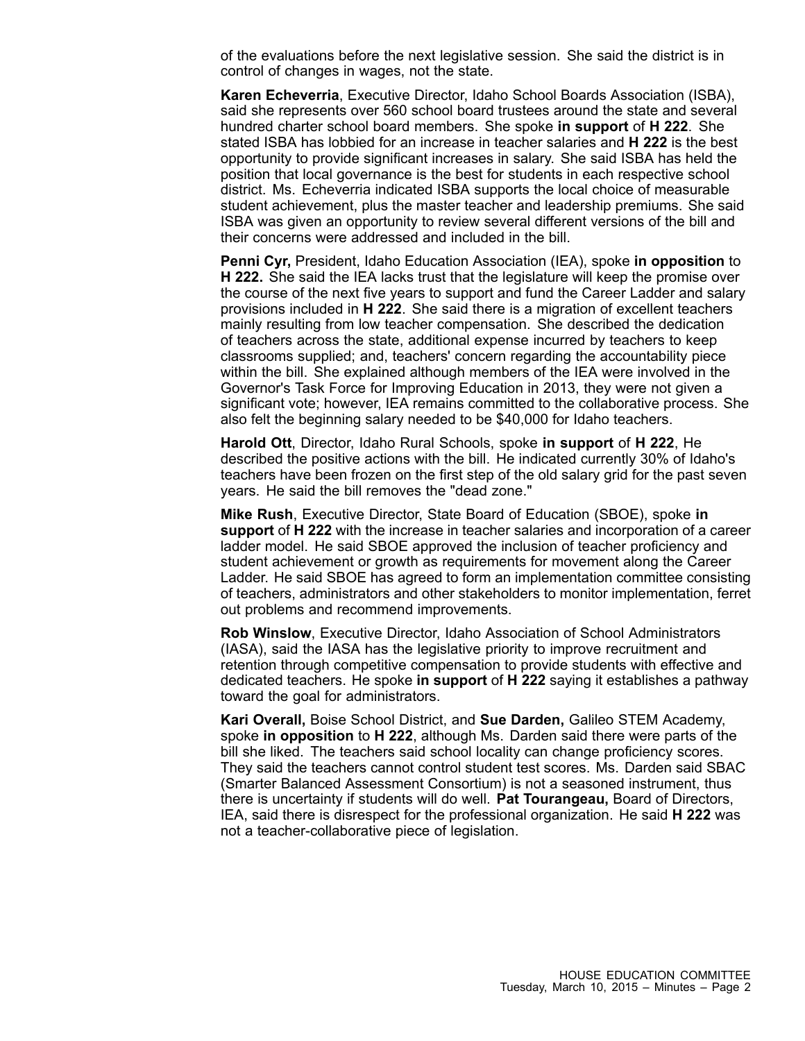of the evaluations before the next legislative session. She said the district is in control of changes in wages, not the state.

**Karen Echeverria**, Executive Director, Idaho School Boards Association (ISBA), said she represents over 560 school board trustees around the state and several hundred charter school board members. She spoke **in support** of **H 222**. She stated ISBA has lobbied for an increase in teacher salaries and **H 222** is the best opportunity to provide significant increases in salary. She said ISBA has held the position that local governance is the best for students in each respective school district. Ms. Echeverria indicated ISBA supports the local choice of measurable student achievement, plus the master teacher and leadership premiums. She said ISBA was given an opportunity to review several different versions of the bill and their concerns were addressed and included in the bill.

**Penni Cyr,** President, Idaho Education Association (IEA), spoke **in opposition** to **H 222.** She said the IEA lacks trust that the legislature will keep the promise over the course of the next five years to support and fund the Career Ladder and salary provisions included in **H 222**. She said there is <sup>a</sup> migration of excellent teachers mainly resulting from low teacher compensation. She described the dedication of teachers across the state, additional expense incurred by teachers to keep classrooms supplied; and, teachers' concern regarding the accountability piece within the bill. She explained although members of the IEA were involved in the Governor's Task Force for Improving Education in 2013, they were not given <sup>a</sup> significant vote; however, IEA remains committed to the collaborative process. She also felt the beginning salary needed to be \$40,000 for Idaho teachers.

**Harold Ott**, Director, Idaho Rural Schools, spoke **in support** of **H 222**, He described the positive actions with the bill. He indicated currently 30% of Idaho's teachers have been frozen on the first step of the old salary grid for the past seven years. He said the bill removes the "dead zone."

**Mike Rush**, Executive Director, State Board of Education (SBOE), spoke **in support** of **H 222** with the increase in teacher salaries and incorporation of <sup>a</sup> career ladder model. He said SBOE approved the inclusion of teacher proficiency and student achievement or growth as requirements for movement along the Career Ladder. He said SBOE has agreed to form an implementation committee consisting of teachers, administrators and other stakeholders to monitor implementation, ferret out problems and recommend improvements.

**Rob Winslow**, Executive Director, Idaho Association of School Administrators (IASA), said the IASA has the legislative priority to improve recruitment and retention through competitive compensation to provide students with effective and dedicated teachers. He spoke **in support** of **H 222** saying it establishes <sup>a</sup> pathway toward the goal for administrators.

**Kari Overall,** Boise School District, and **Sue Darden,** Galileo STEM Academy, spoke **in opposition** to **H 222**, although Ms. Darden said there were parts of the bill she liked. The teachers said school locality can change proficiency scores. They said the teachers cannot control student test scores. Ms. Darden said SBAC (Smarter Balanced Assessment Consortium) is not <sup>a</sup> seasoned instrument, thus there is uncertainty if students will do well. **Pat Tourangeau,** Board of Directors, IEA, said there is disrespect for the professional organization. He said **H 222** was not <sup>a</sup> teacher-collaborative piece of legislation.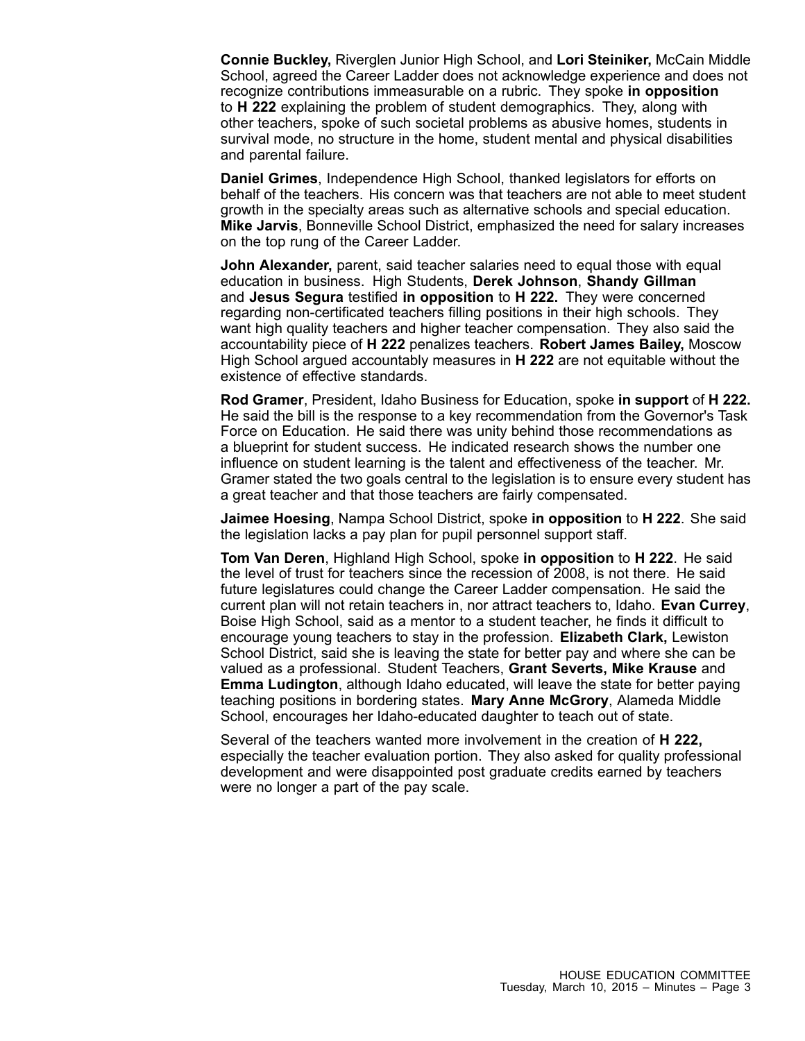**Connie Buckley,** Riverglen Junior High School, and **Lori Steiniker,** McCain Middle School, agreed the Career Ladder does not acknowledge experience and does not recognize contributions immeasurable on <sup>a</sup> rubric. They spoke **in opposition** to **H 222** explaining the problem of student demographics. They, along with other teachers, spoke of such societal problems as abusive homes, students in survival mode, no structure in the home, student mental and physical disabilities and parental failure.

**Daniel Grimes**, Independence High School, thanked legislators for efforts on behalf of the teachers. His concern was that teachers are not able to meet student growth in the specialty areas such as alternative schools and special education. **Mike Jarvis**, Bonneville School District, emphasized the need for salary increases on the top rung of the Career Ladder.

**John Alexander,** parent, said teacher salaries need to equal those with equal education in business. High Students, **Derek Johnson**, **Shandy Gillman** and **Jesus Segura** testified **in opposition** to **H 222.** They were concerned regarding non-certificated teachers filling positions in their high schools. They want high quality teachers and higher teacher compensation. They also said the accountability piece of **H 222** penalizes teachers. **Robert James Bailey,** Moscow High School argued accountably measures in **H 222** are not equitable without the existence of effective standards.

**Rod Gramer**, President, Idaho Business for Education, spoke **in support** of **H 222.** He said the bill is the response to <sup>a</sup> key recommendation from the Governor's Task Force on Education. He said there was unity behind those recommendations as <sup>a</sup> blueprint for student success. He indicated research shows the number one influence on student learning is the talent and effectiveness of the teacher. Mr. Gramer stated the two goals central to the legislation is to ensure every student has <sup>a</sup> great teacher and that those teachers are fairly compensated.

**Jaimee Hoesing**, Nampa School District, spoke **in opposition** to **H 222**. She said the legislation lacks <sup>a</sup> pay plan for pupil personnel support staff.

**Tom Van Deren**, Highland High School, spoke **in opposition** to **H 222**. He said the level of trust for teachers since the recession of 2008, is not there. He said future legislatures could change the Career Ladder compensation. He said the current plan will not retain teachers in, nor attract teachers to, Idaho. **Evan Currey**, Boise High School, said as <sup>a</sup> mentor to <sup>a</sup> student teacher, he finds it difficult to encourage young teachers to stay in the profession. **Elizabeth Clark,** Lewiston School District, said she is leaving the state for better pay and where she can be valued as <sup>a</sup> professional. Student Teachers, **Grant Severts, Mike Krause** and **Emma Ludington**, although Idaho educated, will leave the state for better paying teaching positions in bordering states. **Mary Anne McGrory**, Alameda Middle School, encourages her Idaho-educated daughter to teach out of state.

Several of the teachers wanted more involvement in the creation of **H 222,** especially the teacher evaluation portion. They also asked for quality professional development and were disappointed post graduate credits earned by teachers were no longer <sup>a</sup> part of the pay scale.